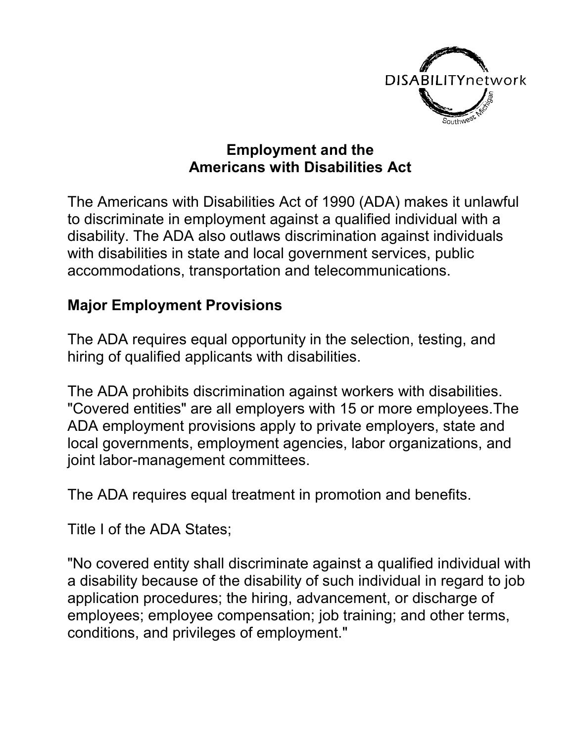

## **Employment and the Americans with Disabilities Act**

The Americans with Disabilities Act of 1990 (ADA) makes it unlawful to discriminate in employment against a qualified individual with a disability. The ADA also outlaws discrimination against individuals with disabilities in state and local government services, public accommodations, transportation and telecommunications.

## **Major Employment Provisions**

The ADA requires equal opportunity in the selection, testing, and hiring of qualified applicants with disabilities.

The ADA prohibits discrimination against workers with disabilities. "Covered entities" are all employers with 15 or more employees.The ADA employment provisions apply to private employers, state and local governments, employment agencies, labor organizations, and joint labor-management committees.

The ADA requires equal treatment in promotion and benefits.

Title I of the ADA States;

"No covered entity shall discriminate against a qualified individual with a disability because of the disability of such individual in regard to job application procedures; the hiring, advancement, or discharge of employees; employee compensation; job training; and other terms, conditions, and privileges of employment."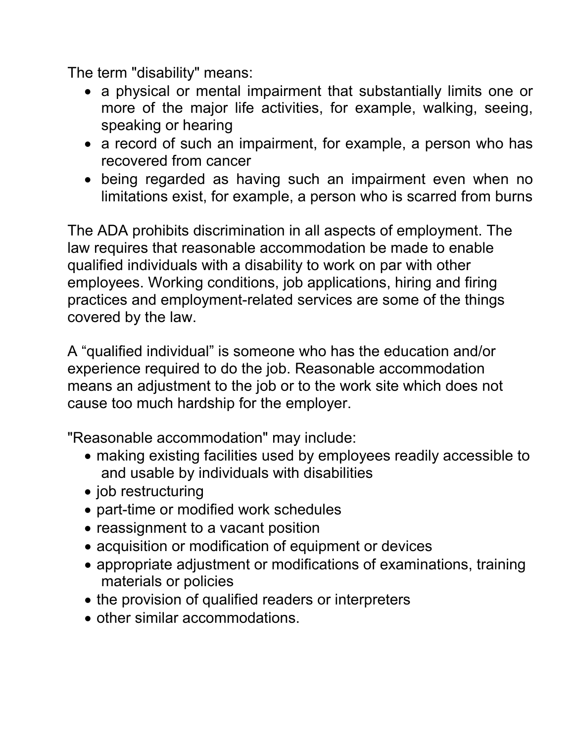The term "disability" means:

- a physical or mental impairment that substantially limits one or more of the major life activities, for example, walking, seeing, speaking or hearing
- a record of such an impairment, for example, a person who has recovered from cancer
- being regarded as having such an impairment even when no limitations exist, for example, a person who is scarred from burns

The ADA prohibits discrimination in all aspects of employment. The law requires that reasonable accommodation be made to enable qualified individuals with a disability to work on par with other employees. Working conditions, job applications, hiring and firing practices and employment-related services are some of the things covered by the law.

A "qualified individual" is someone who has the education and/or experience required to do the job. Reasonable accommodation means an adjustment to the job or to the work site which does not cause too much hardship for the employer.

"Reasonable accommodation" may include:

- making existing facilities used by employees readily accessible to and usable by individuals with disabilities
- job restructuring
- part-time or modified work schedules
- reassignment to a vacant position
- acquisition or modification of equipment or devices
- appropriate adjustment or modifications of examinations, training materials or policies
- the provision of qualified readers or interpreters
- other similar accommodations.